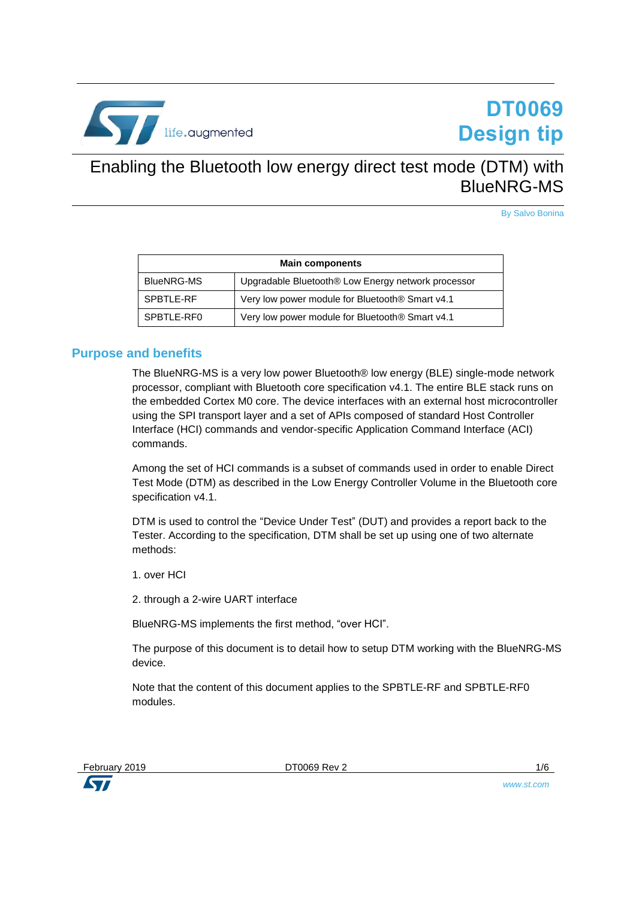

# **DT0069 Design tip**

## Enabling the Bluetooth low energy direct test mode (DTM) with BlueNRG-MS

By Salvo Bonina

| <b>Main components</b> |                                                             |  |
|------------------------|-------------------------------------------------------------|--|
| <b>BlueNRG-MS</b>      | Upgradable Bluetooth® Low Energy network processor          |  |
| SPBTLE-RF              | Very low power module for Bluetooth <sup>®</sup> Smart v4.1 |  |
| SPBTLE-RF0             | Very low power module for Bluetooth <sup>®</sup> Smart v4.1 |  |

## **Purpose and benefits**

The BlueNRG-MS is a very low power Bluetooth® low energy (BLE) single-mode network processor, compliant with Bluetooth core specification v4.1. The entire BLE stack runs on the embedded Cortex M0 core. The device interfaces with an external host microcontroller using the SPI transport layer and a set of APIs composed of standard Host Controller Interface (HCI) commands and vendor-specific Application Command Interface (ACI) commands.

Among the set of HCI commands is a subset of commands used in order to enable Direct Test Mode (DTM) as described in the Low Energy Controller Volume in the Bluetooth core specification v4.1.

DTM is used to control the "Device Under Test" (DUT) and provides a report back to the Tester. According to the specification, DTM shall be set up using one of two alternate methods:

1. over HCI

2. through a 2-wire UART interface

BlueNRG-MS implements the first method, "over HCI".

The purpose of this document is to detail how to setup DTM working with the BlueNRG-MS device.

Note that the content of this document applies to the SPBTLE-RF and SPBTLE-RF0 modules.



**ST** 



*www.st.com*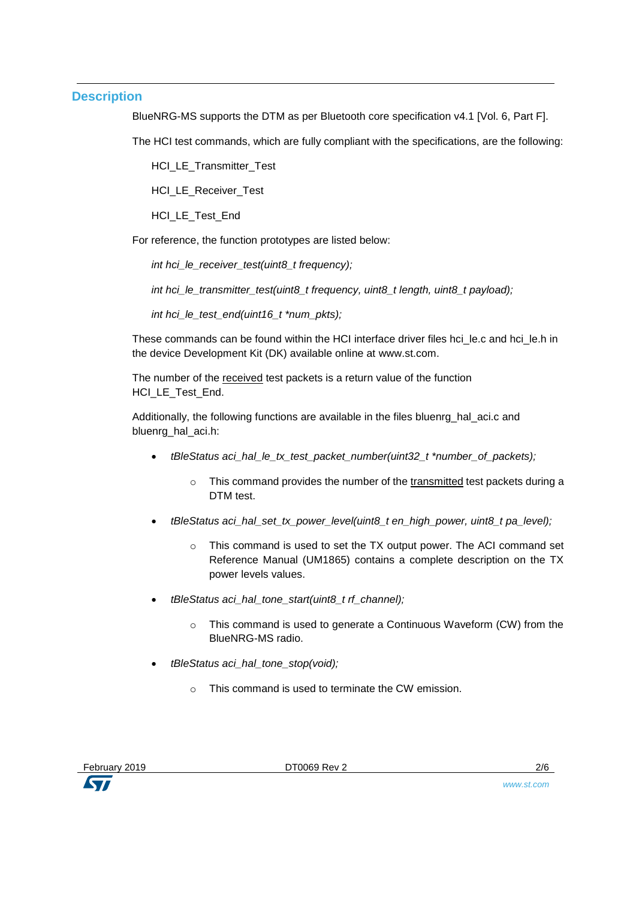## **Description**

BlueNRG-MS supports the DTM as per Bluetooth core specification v4.1 [Vol. 6, Part Fl.

The HCI test commands, which are fully compliant with the specifications, are the following:

HCI LE Transmitter Test

HCI\_LE\_Receiver\_Test

HCI\_LE\_Test\_End

For reference, the function prototypes are listed below:

*int hci\_le\_receiver\_test(uint8\_t frequency);*

*int hci le transmitter test(uint8 t frequency, uint8 t length, uint8 t payload);* 

*int hci\_le\_test\_end(uint16\_t \*num\_pkts);*

These commands can be found within the HCI interface driver files hci\_le.c and hci\_le.h in the device Development Kit (DK) available online at www.st.com.

The number of the received test packets is a return value of the function HCI LE Test End.

Additionally, the following functions are available in the files bluenrg\_hal\_aci.c and bluenrg\_hal\_aci.h:

- *tBleStatus aci\_hal\_le\_tx\_test\_packet\_number(uint32\_t \*number\_of\_packets);*
	- $\circ$  This command provides the number of the transmitted test packets during a DTM test.
- *tBleStatus aci\_hal\_set\_tx\_power\_level(uint8\_t en\_high\_power, uint8\_t pa\_level);*
	- o This command is used to set the TX output power. The ACI command set Reference Manual (UM1865) contains a complete description on the TX power levels values.
- *tBleStatus aci\_hal\_tone\_start(uint8\_t rf\_channel);*
	- o This command is used to generate a Continuous Waveform (CW) from the BlueNRG-MS radio.
- *tBleStatus aci\_hal\_tone\_stop(void);*
	- o This command is used to terminate the CW emission.

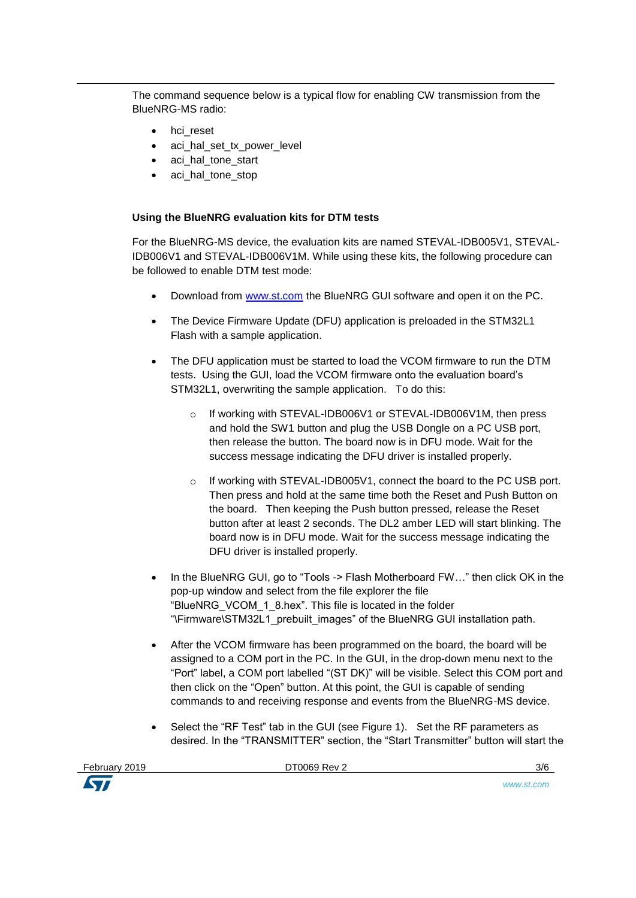The command sequence below is a typical flow for enabling CW transmission from the BlueNRG-MS radio:

- hci reset
- aci hal set tx power level
- aci hal tone start
- aci hal tone stop

## **Using the BlueNRG evaluation kits for DTM tests**

For the BlueNRG-MS device, the evaluation kits are named STEVAL-IDB005V1, STEVAL-IDB006V1 and STEVAL-IDB006V1M. While using these kits, the following procedure can be followed to enable DTM test mode:

- Download from [www.st.com](http://www.st.com/) the BlueNRG GUI software and open it on the PC.
- The Device Firmware Update (DFU) application is preloaded in the STM32L1 Flash with a sample application.
- The DFU application must be started to load the VCOM firmware to run the DTM tests. Using the GUI, load the VCOM firmware onto the evaluation board's STM32L1, overwriting the sample application. To do this:
	- o If working with STEVAL-IDB006V1 or STEVAL-IDB006V1M, then press and hold the SW1 button and plug the USB Dongle on a PC USB port, then release the button. The board now is in DFU mode. Wait for the success message indicating the DFU driver is installed properly.
	- o If working with STEVAL-IDB005V1, connect the board to the PC USB port. Then press and hold at the same time both the Reset and Push Button on the board. Then keeping the Push button pressed, release the Reset button after at least 2 seconds. The DL2 amber LED will start blinking. The board now is in DFU mode. Wait for the success message indicating the DFU driver is installed properly.
- In the BlueNRG GUI, go to "Tools -> Flash Motherboard FW..." then click OK in the pop-up window and select from the file explorer the file "BlueNRG\_VCOM\_1\_8.hex". This file is located in the folder "\Firmware\STM32L1\_prebuilt\_images" of the BlueNRG GUI installation path.
- After the VCOM firmware has been programmed on the board, the board will be assigned to a COM port in the PC. In the GUI, in the drop-down menu next to the "Port" label, a COM port labelled "(ST DK)" will be visible. Select this COM port and then click on the "Open" button. At this point, the GUI is capable of sending commands to and receiving response and events from the BlueNRG-MS device.
- Select the "RF Test" tab in the GUI (see Figure 1). Set the RF parameters as desired. In the "TRANSMITTER" section, the "Start Transmitter" button will start the

February 2019 DT0069 Rev 2 3/6

*www.st.com*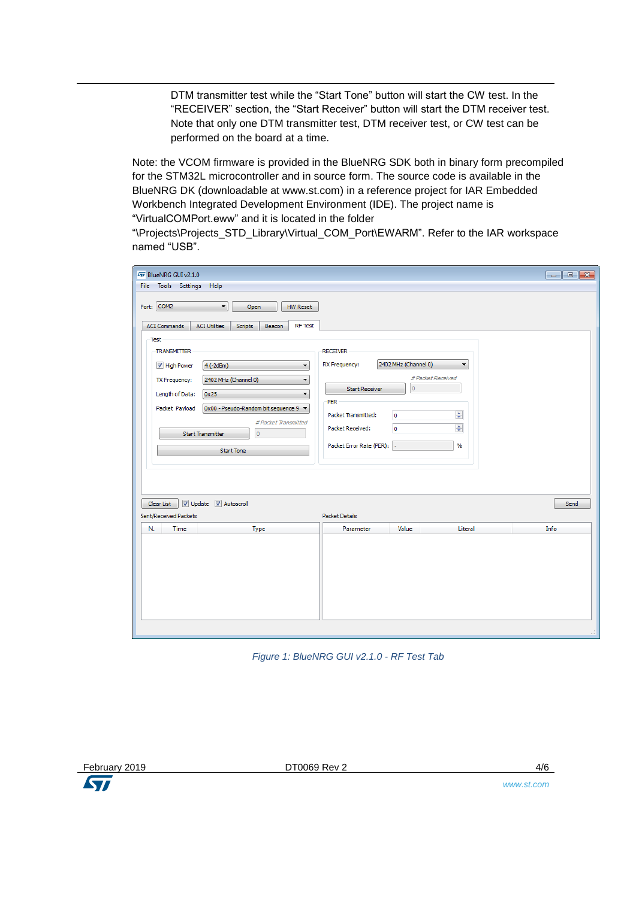DTM transmitter test while the "Start Tone" button will start the CW test. In the "RECEIVER" section, the "Start Receiver" button will start the DTM receiver test. Note that only one DTM transmitter test, DTM receiver test, or CW test can be performed on the board at a time.

Note: the VCOM firmware is provided in the BlueNRG SDK both in binary form precompiled for the STM32L microcontroller and in source form. The source code is available in the BlueNRG DK (downloadable at www.st.com) in a reference project for IAR Embedded Workbench Integrated Development Environment (IDE). The project name is "VirtualCOMPort.eww" and it is located in the folder

"\Projects\Projects\_STD\_Library\Virtual\_COM\_Port\EWARM". Refer to the IAR workspace named "USB".

| 477 BlueNRG GUI v2.1.0<br>File Tools Settings Help                                                                                                                                                                                                                                                                                                                                                                                                       |                                                                                                                                                                                                                                                                                  | $\Box$ e x |
|----------------------------------------------------------------------------------------------------------------------------------------------------------------------------------------------------------------------------------------------------------------------------------------------------------------------------------------------------------------------------------------------------------------------------------------------------------|----------------------------------------------------------------------------------------------------------------------------------------------------------------------------------------------------------------------------------------------------------------------------------|------------|
| Port: COM2<br>۰<br>Open<br><b>HW Reset</b><br><b>RF</b> Test<br><b>ACI Commands</b><br><b>ACI Utilities</b><br>Scripts<br>Beacon<br>Test<br><b>TRANSMITTER</b><br>High Power<br>$4(-2dBm)$<br>$\overline{\phantom{a}}$<br>2402 MHz (Channel 0)<br>TX Frequency:<br>▼<br>Length of Data:<br>0x25<br>۰<br>0x00 - Pseudo-Random bit sequence 9 ▼<br>Packet Payload<br># Packet Transmitted<br><b>Start Transmitter</b><br>$\mathbf{0}$<br><b>Start Tone</b> | <b>RECEIVER</b><br>2402 MHz (Channel 0)<br>RX Frequency:<br>$\blacktriangledown$<br># Packet Received<br>$\overline{0}$<br><b>Start Receiver</b><br>PER<br>$\div$<br>Packet Transmitted:<br>$\circ$<br>$\div$<br>Packet Received:<br>$\circ$<br>Packet Error Rate (PER):<br>$\%$ |            |
| V Update V Autoscroll<br>Clear List<br>Sent/Received Packets                                                                                                                                                                                                                                                                                                                                                                                             | Packet Details                                                                                                                                                                                                                                                                   | Send       |
| Time<br>N.<br>Type                                                                                                                                                                                                                                                                                                                                                                                                                                       | Parameter<br>Value<br>Literal                                                                                                                                                                                                                                                    | Info       |
|                                                                                                                                                                                                                                                                                                                                                                                                                                                          |                                                                                                                                                                                                                                                                                  |            |

*Figure 1: BlueNRG GUI v2.1.0 - RF Test Tab*



February 2019 DT0069 Rev 2 4/6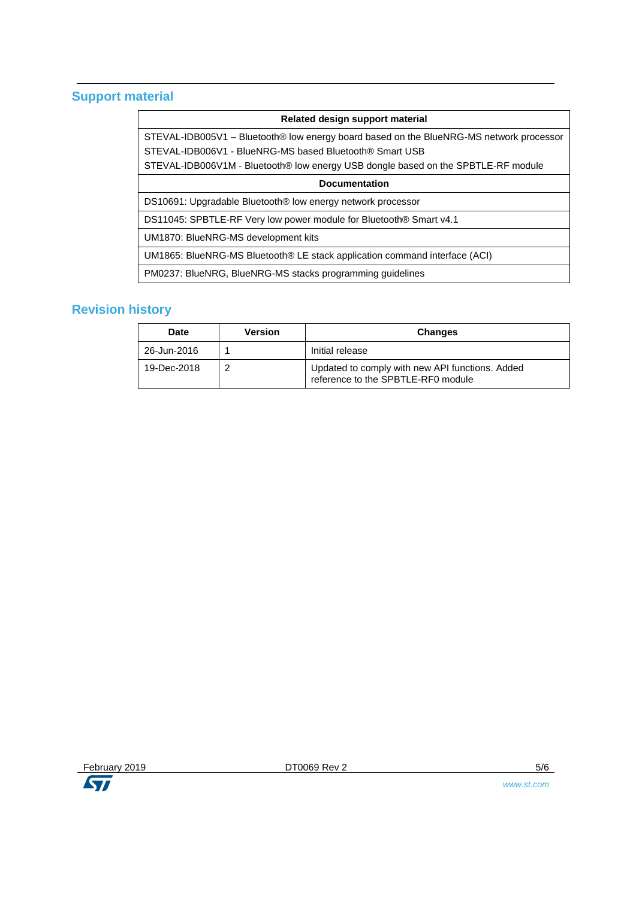## **Support material**

### **Related design support material**

STEVAL-IDB005V1 – Bluetooth® low energy board based on the BlueNRG-MS network processor STEVAL-IDB006V1 - BlueNRG-MS based Bluetooth® Smart USB STEVAL-IDB006V1M - Bluetooth® low energy USB dongle based on the SPBTLE-RF module

#### **Documentation**

DS10691: Upgradable Bluetooth® low energy network processor

DS11045: SPBTLE-RF Very low power module for Bluetooth® Smart v4.1

UM1870: BlueNRG-MS development kits

UM1865: BlueNRG-MS Bluetooth® LE stack application command interface (ACI)

PM0237: BlueNRG, BlueNRG-MS stacks programming guidelines

## **Revision history**

| <b>Date</b> | Version | <b>Changes</b>                                                                        |
|-------------|---------|---------------------------------------------------------------------------------------|
| 26-Jun-2016 |         | Initial release                                                                       |
| 19-Dec-2018 |         | Updated to comply with new API functions. Added<br>reference to the SPBTLE-RF0 module |

ST